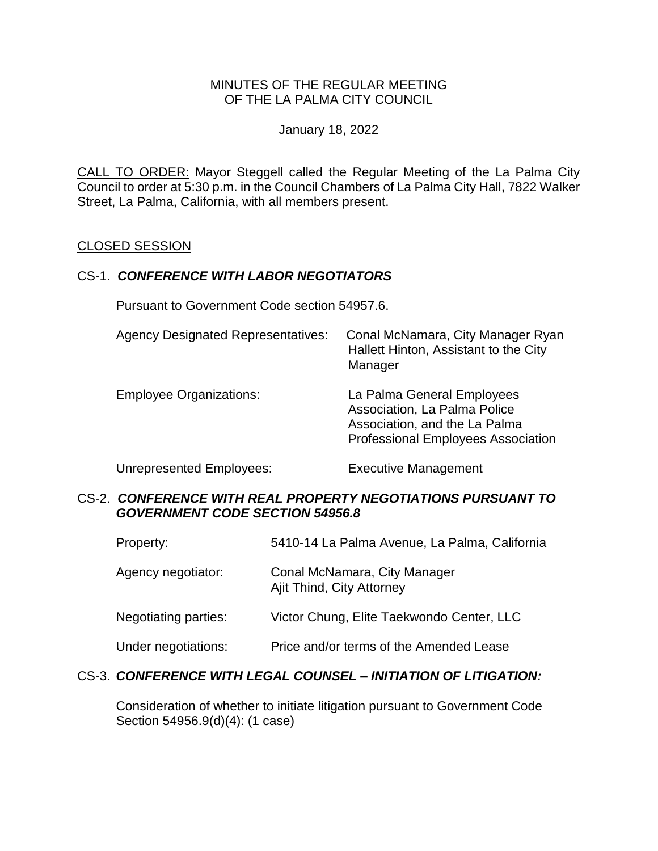### MINUTES OF THE REGULAR MEETING OF THE LA PALMA CITY COUNCIL

January 18, 2022

CALL TO ORDER: Mayor Steggell [called the Regular Meeting of the La Palma City](https://lapalma.granicus.com/MediaPlayer.php?view_id=&clip_id=1276&meta_id=171633)  [Council to order at 5:30 p.m. in the Council Chambers of La Palma City Hall, 7822 Walker](https://lapalma.granicus.com/MediaPlayer.php?view_id=&clip_id=1276&meta_id=171633)  [Street, La Palma, California, with all members present.](https://lapalma.granicus.com/MediaPlayer.php?view_id=&clip_id=1276&meta_id=171633)

#### [CLOSED SESSION](https://lapalma.granicus.com/MediaPlayer.php?view_id=&clip_id=1276&meta_id=171637)

#### CS-1. *CONFERENCE WITH LABOR NEGOTIATORS*

Pursuant to Government Code section 54957.6.

| <b>Agency Designated Representatives:</b> | Conal McNamara, City Manager Ryan<br>Hallett Hinton, Assistant to the City<br>Manager                                                    |
|-------------------------------------------|------------------------------------------------------------------------------------------------------------------------------------------|
| <b>Employee Organizations:</b>            | La Palma General Employees<br>Association, La Palma Police<br>Association, and the La Palma<br><b>Professional Employees Association</b> |

Unrepresented Employees: Executive Management

### CS-2. *CONFERENCE WITH REAL PROPERTY NEGOTIATIONS PURSUANT TO GOVERNMENT CODE SECTION 54956.8*

- Property: 5410-14 La Palma Avenue, La Palma, California
- Agency negotiator: Conal McNamara, City Manager Ajit Thind, City Attorney
- Negotiating parties: Victor Chung, Elite Taekwondo Center, LLC
- Under negotiations: Price and/or terms of the Amended Lease

### CS-3. *CONFERENCE WITH LEGAL COUNSEL – INITIATION OF LITIGATION:*

Consideration of whether to initiate litigation pursuant to Government Code Section 54956.9(d)(4): (1 case)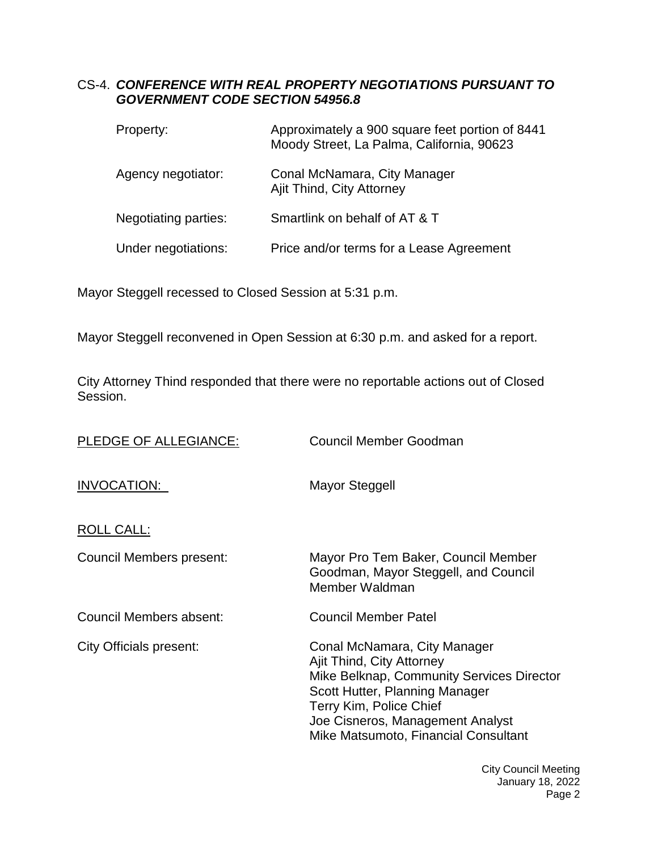# CS-4. *CONFERENCE WITH REAL PROPERTY NEGOTIATIONS PURSUANT TO GOVERNMENT CODE SECTION 54956.8*

| Property:            | Approximately a 900 square feet portion of 8441<br>Moody Street, La Palma, California, 90623 |
|----------------------|----------------------------------------------------------------------------------------------|
| Agency negotiator:   | Conal McNamara, City Manager<br>Ajit Thind, City Attorney                                    |
| Negotiating parties: | Smartlink on behalf of AT & T                                                                |
| Under negotiations:  | Price and/or terms for a Lease Agreement                                                     |

Mayor Steggell recessed to Closed Session at 5:31 p.m.

Mayor Steggell reconvened in Open Session at 6:30 p.m. and asked for a report.

City Attorney Thind responded that there were no reportable actions out of Closed Session.

| PLEDGE OF ALLEGIANCE:    | Council Member Goodman                                                                                                                                                                                                                          |
|--------------------------|-------------------------------------------------------------------------------------------------------------------------------------------------------------------------------------------------------------------------------------------------|
| INVOCATION:              | Mayor Steggell                                                                                                                                                                                                                                  |
| <b>ROLL CALL:</b>        |                                                                                                                                                                                                                                                 |
| Council Members present: | Mayor Pro Tem Baker, Council Member<br>Goodman, Mayor Steggell, and Council<br>Member Waldman                                                                                                                                                   |
| Council Members absent:  | <b>Council Member Patel</b>                                                                                                                                                                                                                     |
| City Officials present:  | Conal McNamara, City Manager<br>Ajit Thind, City Attorney<br>Mike Belknap, Community Services Director<br>Scott Hutter, Planning Manager<br>Terry Kim, Police Chief<br>Joe Cisneros, Management Analyst<br>Mike Matsumoto, Financial Consultant |

City Council Meeting January 18, 2022 Page 2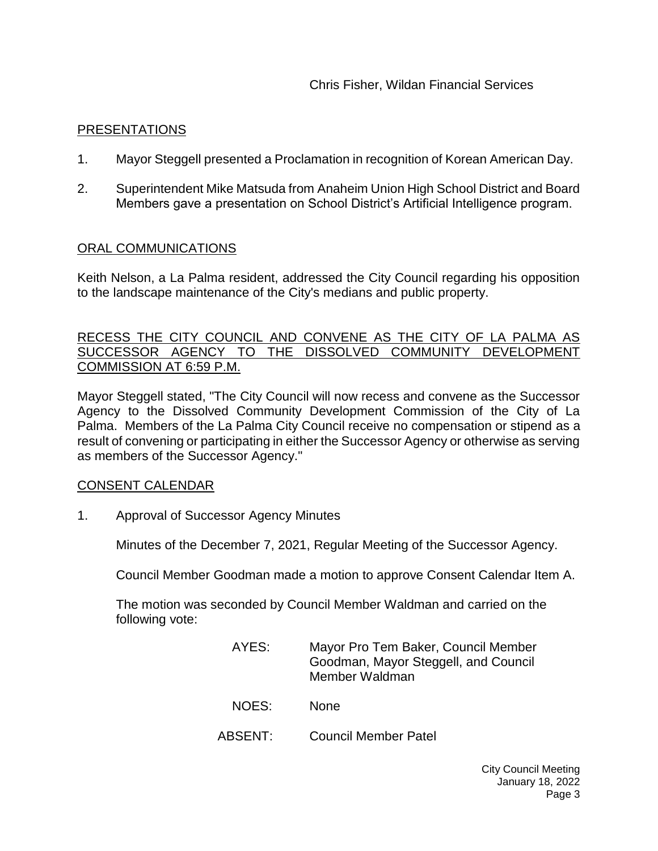### [PRESENTATIONS](https://lapalma.granicus.com/MediaPlayer.php?view_id=&clip_id=1276&meta_id=171651)

- 1. [Mayor Steggell presented a Proclamation in recognition of Korean American Day.](https://lapalma.granicus.com/MediaPlayer.php?view_id=&clip_id=1276&meta_id=171692)
- 2. [Superintendent Mike Matsuda from Anaheim Union High School District and Board](https://lapalma.granicus.com/MediaPlayer.php?view_id=&clip_id=1276&meta_id=171694)  [Members gave a presentation on School District's Artificial Intelligence program.](https://lapalma.granicus.com/MediaPlayer.php?view_id=&clip_id=1276&meta_id=171694)

#### [ORAL COMMUNICATIONS](https://lapalma.granicus.com/MediaPlayer.php?view_id=&clip_id=1276&meta_id=171653)

Keith Nelson, a La Palma resident, addressed the City Council regarding his opposition to the landscape maintenance of the City's medians and public property.

#### [RECESS THE CITY COUNCIL AND CONVENE AS THE CITY OF LA PALMA AS](https://lapalma.granicus.com/MediaPlayer.php?view_id=&clip_id=1276&meta_id=171661)  [SUCCESSOR AGENCY TO THE DISSOLVED COMMUNITY DEVELOPMENT](https://lapalma.granicus.com/MediaPlayer.php?view_id=&clip_id=1276&meta_id=171661)  [COMMISSION](https://lapalma.granicus.com/MediaPlayer.php?view_id=&clip_id=1276&meta_id=171661) AT 6:59 P.M.

Mayor Steggell stated, "The City Council will now recess and convene as the Successor Agency to the Dissolved Community Development Commission of the City of La Palma. Members of the La Palma City Council receive no compensation or stipend as a result of convening or participating in either the Successor Agency or otherwise as serving as members of the Successor Agency."

### [CONSENT CALENDAR](https://lapalma.granicus.com/MediaPlayer.php?view_id=&clip_id=1276&meta_id=171655)

1. Approval of Successor Agency Minutes

Minutes of the December 7, 2021, Regular Meeting of the Successor Agency.

Council Member Goodman made a motion to approve Consent Calendar Item A.

The motion was seconded by Council Member Waldman and carried on the following vote:

| AYES: | Mayor Pro Tem Baker, Council Member<br>Goodman, Mayor Steggell, and Council<br>Member Waldman |
|-------|-----------------------------------------------------------------------------------------------|
| NOES: | <b>None</b>                                                                                   |

- 
- ABSENT: Council Member Patel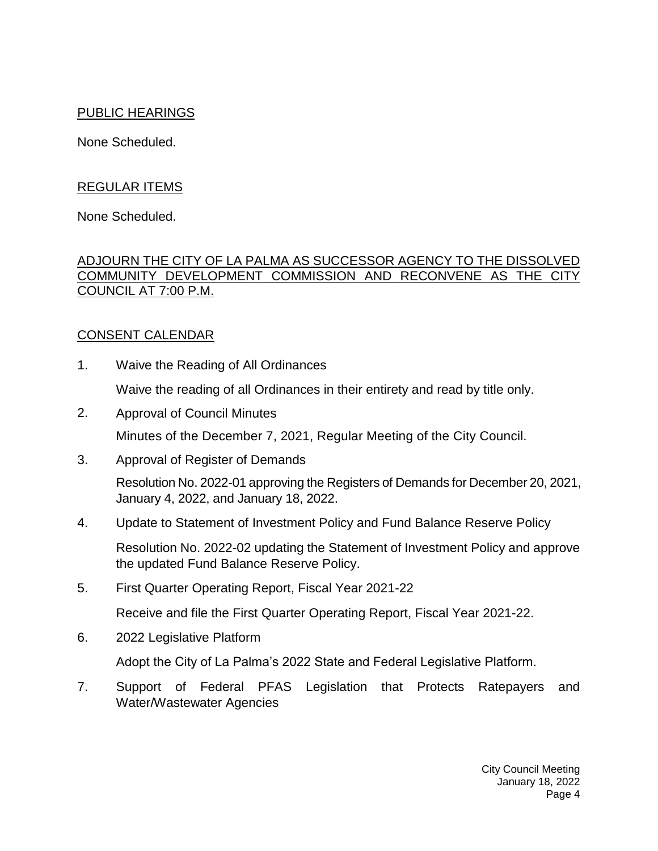# PUBLIC HEARINGS

None Scheduled.

# REGULAR ITEMS

None Scheduled.

## [ADJOURN THE CITY OF LA PALMA AS SUCCESSOR AGENCY TO THE DISSOLVED](https://lapalma.granicus.com/MediaPlayer.php?view_id=&clip_id=1276&meta_id=171663)  [COMMUNITY DEVELOPMENT COMMISSION AND RECONVENE AS THE CITY](https://lapalma.granicus.com/MediaPlayer.php?view_id=&clip_id=1276&meta_id=171663)  [COUNCIL AT 7:00 P.M.](https://lapalma.granicus.com/MediaPlayer.php?view_id=&clip_id=1276&meta_id=171663)

# [CONSENT CALENDAR](https://lapalma.granicus.com/MediaPlayer.php?view_id=&clip_id=1276&meta_id=171665)

1. Waive the Reading of All Ordinances

Waive the reading of all Ordinances in their entirety and read by title only.

- 2. Approval of Council Minutes Minutes of the December 7, 2021, Regular Meeting of the City Council.
- 3. Approval of Register of Demands

Resolution No. 2022-01 approving the Registers of Demands for December 20, 2021, January 4, 2022, and January 18, 2022.

4. Update to Statement of Investment Policy and Fund Balance Reserve Policy

Resolution No. 2022-02 updating the Statement of Investment Policy and approve the updated Fund Balance Reserve Policy.

5. First Quarter Operating Report, Fiscal Year 2021-22

Receive and file the First Quarter Operating Report, Fiscal Year 2021-22.

6. 2022 Legislative Platform

Adopt the City of La Palma's 2022 State and Federal Legislative Platform.

7. Support of Federal PFAS Legislation that Protects Ratepayers and Water/Wastewater Agencies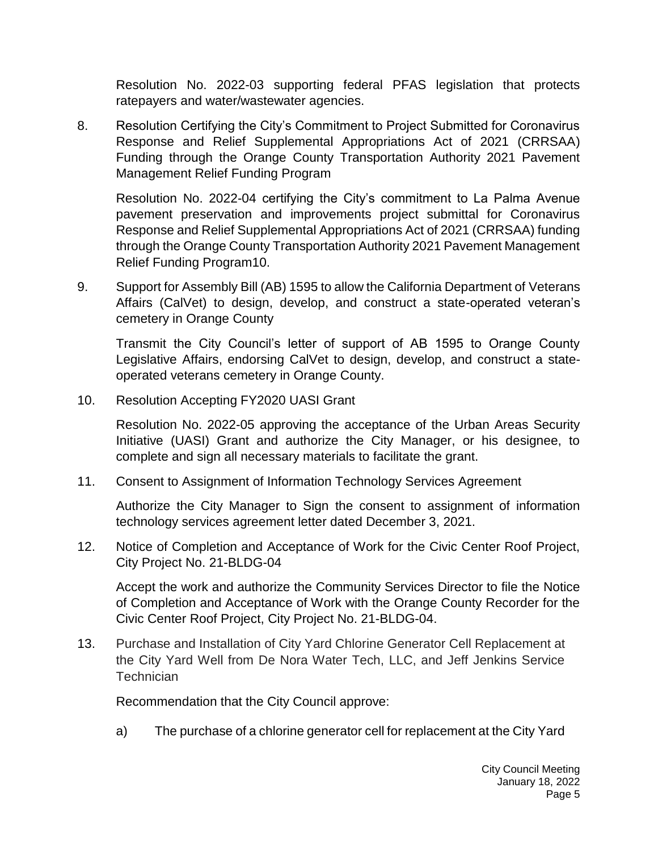Resolution No. 2022-03 supporting federal PFAS legislation that protects ratepayers and water/wastewater agencies.

8. Resolution Certifying the City's Commitment to Project Submitted for Coronavirus Response and Relief Supplemental Appropriations Act of 2021 (CRRSAA) Funding through the Orange County Transportation Authority 2021 Pavement Management Relief Funding Program

Resolution No. 2022-04 certifying the City's commitment to La Palma Avenue pavement preservation and improvements project submittal for Coronavirus Response and Relief Supplemental Appropriations Act of 2021 (CRRSAA) funding through the Orange County Transportation Authority 2021 Pavement Management Relief Funding Program10.

9. Support for Assembly Bill (AB) 1595 to allow the California Department of Veterans Affairs (CalVet) to design, develop, and construct a state-operated veteran's cemetery in Orange County

Transmit the City Council's letter of support of AB 1595 to Orange County Legislative Affairs, endorsing CalVet to design, develop, and construct a stateoperated veterans cemetery in Orange County.

10. Resolution Accepting FY2020 UASI Grant

Resolution No. 2022-05 approving the acceptance of the Urban Areas Security Initiative (UASI) Grant and authorize the City Manager, or his designee, to complete and sign all necessary materials to facilitate the grant.

11. Consent to Assignment of Information Technology Services Agreement

Authorize the City Manager to Sign the consent to assignment of information technology services agreement letter dated December 3, 2021.

12. Notice of Completion and Acceptance of Work for the Civic Center Roof Project, City Project No. 21-BLDG-04

Accept the work and authorize the Community Services Director to file the Notice of Completion and Acceptance of Work with the Orange County Recorder for the Civic Center Roof Project, City Project No. 21-BLDG-04.

13. Purchase and Installation of City Yard Chlorine Generator Cell Replacement at the City Yard Well from De Nora Water Tech, LLC, and Jeff Jenkins Service **Technician** 

Recommendation that the City Council approve:

a) The purchase of a chlorine generator cell for replacement at the City Yard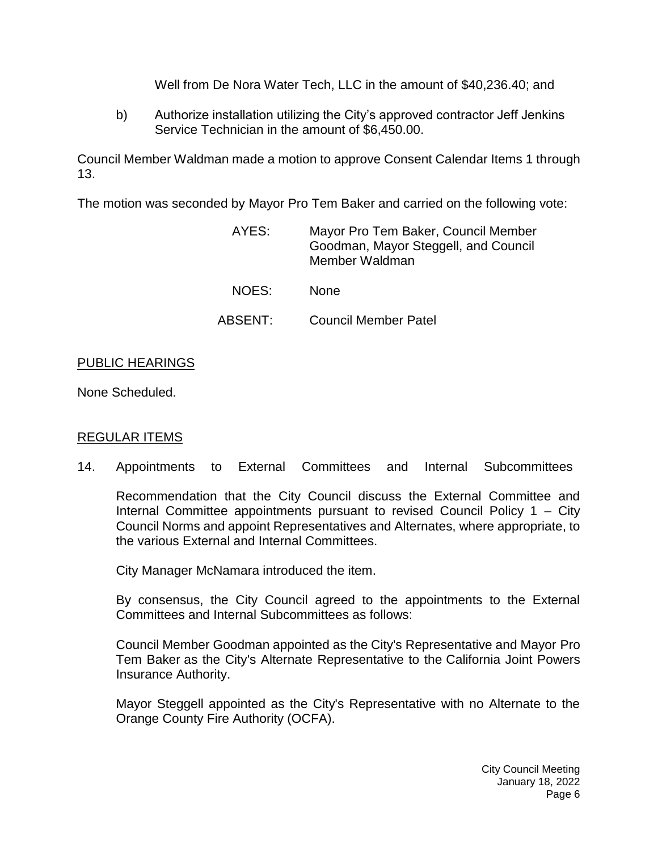Well from De Nora Water Tech, LLC in the amount of \$40,236.40; and

b) Authorize installation utilizing the City's approved contractor Jeff Jenkins Service Technician in the amount of \$6,450.00.

Council Member Waldman made a motion to approve Consent Calendar Items 1 through 13.

The motion was seconded by Mayor Pro Tem Baker and carried on the following vote:

| AYES:   | Mayor Pro Tem Baker, Council Member<br>Goodman, Mayor Steggell, and Council<br>Member Waldman |
|---------|-----------------------------------------------------------------------------------------------|
| NOES:   | <b>None</b>                                                                                   |
| ABSENT: | <b>Council Member Patel</b>                                                                   |

# [PUBLIC HEARINGS](https://lapalma.granicus.com/MediaPlayer.php?view_id=&clip_id=1276&meta_id=171667)

None Scheduled.

# [REGULAR ITEMS](https://lapalma.granicus.com/MediaPlayer.php?view_id=&clip_id=1276&meta_id=171669)

14. Appointments to External Committees and Internal Subcommittees

Recommendation that the City Council discuss the External Committee and Internal Committee appointments pursuant to revised Council Policy 1 – City Council Norms and appoint Representatives and Alternates, where appropriate, to the various External and Internal Committees.

City Manager McNamara introduced the item.

By consensus, the City Council agreed to the appointments to the External Committees and Internal Subcommittees as follows:

Council Member Goodman appointed as the City's Representative and Mayor Pro Tem Baker as the City's Alternate Representative to the California Joint Powers Insurance Authority.

Mayor Steggell appointed as the City's Representative with no Alternate to the Orange County Fire Authority (OCFA).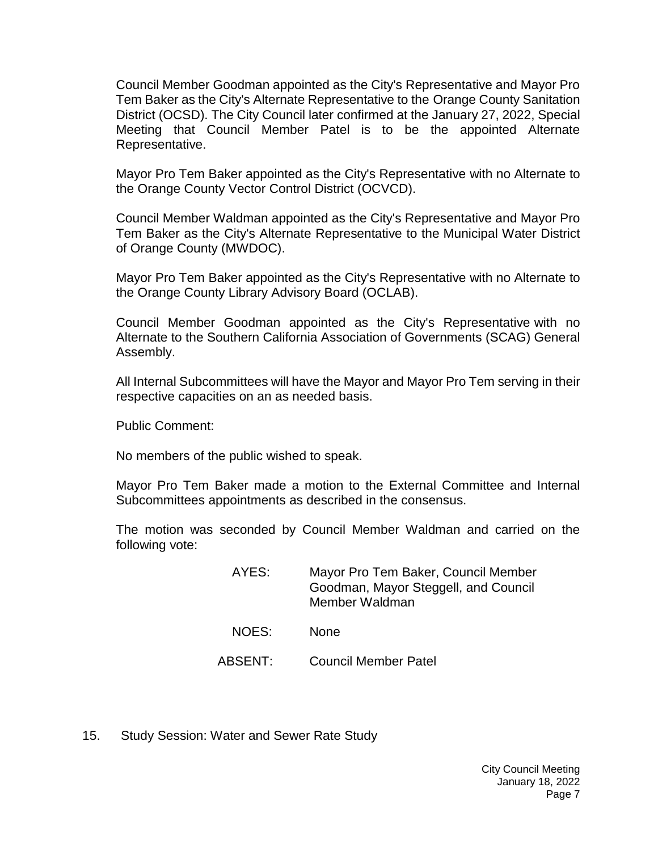Council Member Goodman appointed as the City's Representative and Mayor Pro Tem Baker as the City's Alternate Representative to the Orange County Sanitation District (OCSD). The City Council later confirmed at the January 27, 2022, Special Meeting that Council Member Patel is to be the appointed Alternate Representative.

Mayor Pro Tem Baker appointed as the City's Representative with no Alternate to the Orange County Vector Control District (OCVCD).

Council Member Waldman appointed as the City's Representative and Mayor Pro Tem Baker as the City's Alternate Representative to the Municipal Water District of Orange County (MWDOC).

Mayor Pro Tem Baker appointed as the City's Representative with no Alternate to the Orange County Library Advisory Board (OCLAB).

Council Member Goodman appointed as the City's Representative with no Alternate to the Southern California Association of Governments (SCAG) General Assembly.

All Internal Subcommittees will have the Mayor and Mayor Pro Tem serving in their respective capacities on an as needed basis.

Public Comment:

No members of the public wished to speak.

Mayor Pro Tem Baker made a motion to the External Committee and Internal Subcommittees appointments as described in the consensus.

The motion was seconded by Council Member Waldman and carried on the following vote:

| AYES:   | Mayor Pro Tem Baker, Council Member<br>Goodman, Mayor Steggell, and Council<br>Member Waldman |
|---------|-----------------------------------------------------------------------------------------------|
| NOES:   | <b>None</b>                                                                                   |
| ABSENT: | <b>Council Member Patel</b>                                                                   |

15. Study Session: Water and Sewer Rate Study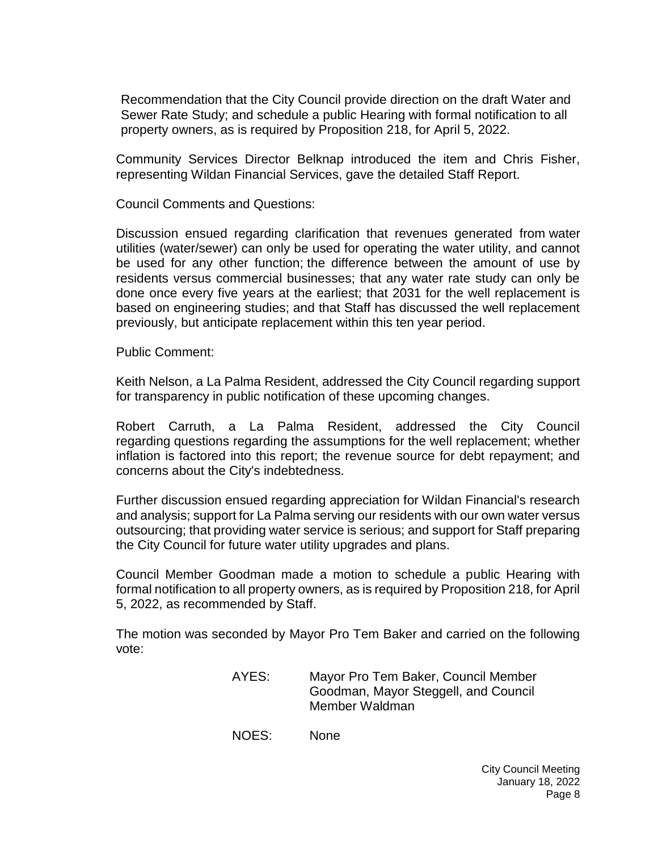Recommendation that the City Council provide direction on the draft Water and Sewer Rate Study; and schedule a public Hearing with formal notification to all property owners, as is required by Proposition 218, for April 5, 2022.

Community Services Director Belknap introduced the item and Chris Fisher, representing Wildan Financial Services, gave the detailed Staff Report.

Council Comments and Questions:

Discussion ensued regarding clarification that revenues generated from water utilities (water/sewer) can only be used for operating the water utility, and cannot be used for any other function; the difference between the amount of use by residents versus commercial businesses; that any water rate study can only be done once every five years at the earliest; that 2031 for the well replacement is based on engineering studies; and that Staff has discussed the well replacement previously, but anticipate replacement within this ten year period.

Public Comment:

Keith Nelson, a La Palma Resident, addressed the City Council regarding support for transparency in public notification of these upcoming changes.

Robert Carruth, a La Palma Resident, addressed the City Council regarding questions regarding the assumptions for the well replacement; whether inflation is factored into this report; the revenue source for debt repayment; and concerns about the City's indebtedness.

Further discussion ensued regarding appreciation for Wildan Financial's research and analysis; support for La Palma serving our residents with our own water versus outsourcing; that providing water service is serious; and support for Staff preparing the City Council for future water utility upgrades and plans.

Council Member Goodman made a motion to schedule a public Hearing with formal notification to all property owners, as is required by Proposition 218, for April 5, 2022, as recommended by Staff.

The motion was seconded by Mayor Pro Tem Baker and carried on the following vote:

> AYES: Mayor Pro Tem Baker, Council Member Goodman, Mayor Steggell, and Council Member Waldman

NOES: None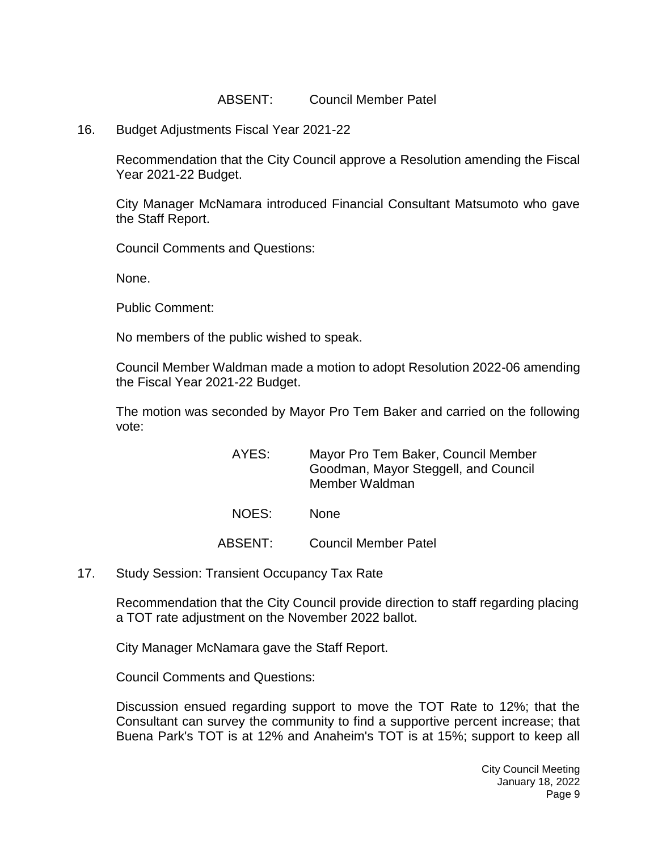#### ABSENT: Council Member Patel

16. Budget Adjustments Fiscal Year 2021-22

Recommendation that the City Council approve a Resolution amending the Fiscal Year 2021-22 Budget.

City Manager McNamara introduced Financial Consultant Matsumoto who gave the Staff Report.

Council Comments and Questions:

None.

Public Comment:

No members of the public wished to speak.

Council Member Waldman made a motion to adopt Resolution 2022-06 amending the Fiscal Year 2021-22 Budget.

The motion was seconded by Mayor Pro Tem Baker and carried on the following vote:

| AYES: | Mayor Pro Tem Baker, Council Member<br>Goodman, Mayor Steggell, and Council<br>Member Waldman |
|-------|-----------------------------------------------------------------------------------------------|
| NOES: | <b>None</b>                                                                                   |

ABSENT: Council Member Patel

17. Study Session: Transient Occupancy Tax Rate

Recommendation that the City Council provide direction to staff regarding placing a TOT rate adjustment on the November 2022 ballot.

City Manager McNamara gave the Staff Report.

Council Comments and Questions:

Discussion ensued regarding support to move the TOT Rate to 12%; that the Consultant can survey the community to find a supportive percent increase; that Buena Park's TOT is at 12% and Anaheim's TOT is at 15%; support to keep all

> City Council Meeting January 18, 2022 Page 9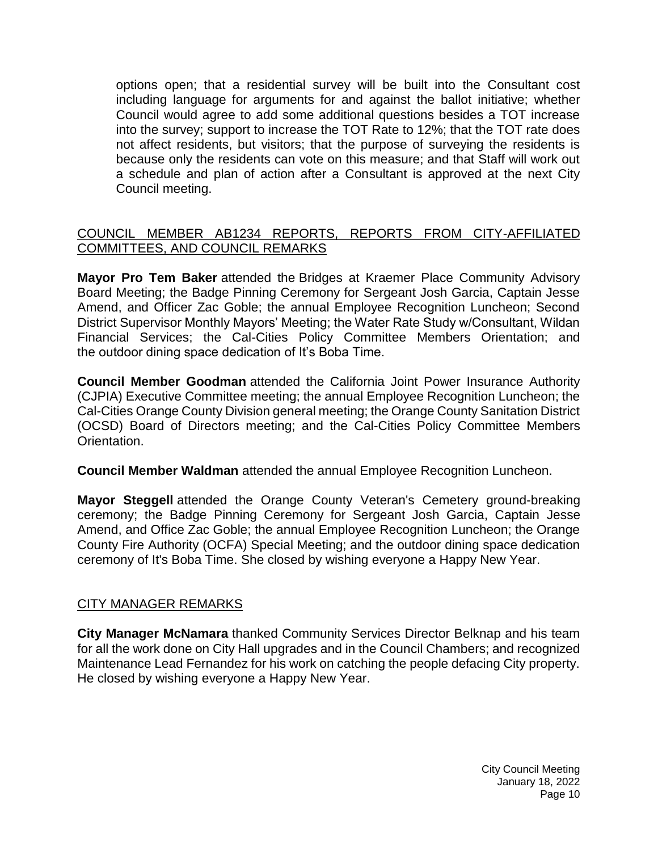options open; that a residential survey will be built into the Consultant cost including language for arguments for and against the ballot initiative; whether Council would agree to add some additional questions besides a TOT increase into the survey; support to increase the TOT Rate to 12%; that the TOT rate does not affect residents, but visitors; that the purpose of surveying the residents is because only the residents can vote on this measure; and that Staff will work out a schedule and plan of action after a Consultant is approved at the next City Council meeting.

## [COUNCIL MEMBER AB1234 REPORTS, REPORTS FROM CITY-AFFILIATED](https://lapalma.granicus.com/MediaPlayer.php?view_id=&clip_id=1276&meta_id=171671)  [COMMITTEES, AND COUNCIL REMARKS](https://lapalma.granicus.com/MediaPlayer.php?view_id=&clip_id=1276&meta_id=171671)

**Mayor Pro Tem Baker** attended the Bridges at Kraemer Place Community Advisory Board Meeting; the Badge Pinning Ceremony for Sergeant Josh Garcia, Captain Jesse Amend, and Officer Zac Goble; the annual Employee Recognition Luncheon; Second District Supervisor Monthly Mayors' Meeting; the Water Rate Study w/Consultant, Wildan Financial Services; the Cal-Cities Policy Committee Members Orientation; and the outdoor dining space dedication of It's Boba Time.

**Council Member Goodman** attended the California Joint Power Insurance Authority (CJPIA) Executive Committee meeting; the annual Employee Recognition Luncheon; the Cal-Cities Orange County Division general meeting; the Orange County Sanitation District (OCSD) Board of Directors meeting; and the Cal-Cities Policy Committee Members Orientation.

**Council Member Waldman** attended the annual Employee Recognition Luncheon.

**Mayor Steggell** attended the Orange County Veteran's Cemetery ground-breaking ceremony; the Badge Pinning Ceremony for Sergeant Josh Garcia, Captain Jesse Amend, and Office Zac Goble; the annual Employee Recognition Luncheon; the Orange County Fire Authority (OCFA) Special Meeting; and the outdoor dining space dedication ceremony of It's Boba Time. She closed by wishing everyone a Happy New Year.

### [CITY MANAGER REMARKS](https://lapalma.granicus.com/MediaPlayer.php?view_id=&clip_id=1276&meta_id=171673)

**City Manager McNamara** thanked Community Services Director Belknap and his team for all the work done on City Hall upgrades and in the Council Chambers; and recognized Maintenance Lead Fernandez for his work on catching the people defacing City property. He closed by wishing everyone a Happy New Year.